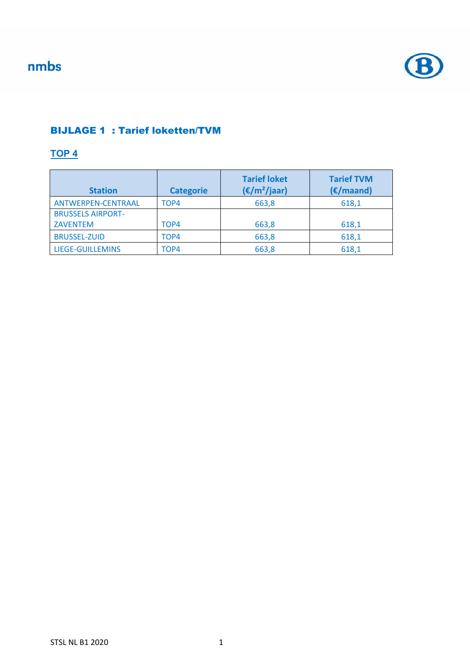

#### BIJLAGE 1 : Tarief loketten/TVM

#### **TOP 4**

| <b>Station</b>           | <b>Categorie</b> | <b>Tarief loket</b><br>$(\epsilon/m^2$ /jaar) | <b>Tarief TVM</b><br>(E/maand) |
|--------------------------|------------------|-----------------------------------------------|--------------------------------|
| ANTWERPEN-CENTRAAL       | TOP4             | 663,8                                         | 618,1                          |
| <b>BRUSSELS AIRPORT-</b> |                  |                                               |                                |
| <b>ZAVENTEM</b>          | TOP4             | 663,8                                         | 618,1                          |
| <b>BRUSSEL-ZUID</b>      | TOP4             | 663,8                                         | 618,1                          |
| LIEGE-GUILLEMINS         | TOP4             | 663,8                                         | 618,1                          |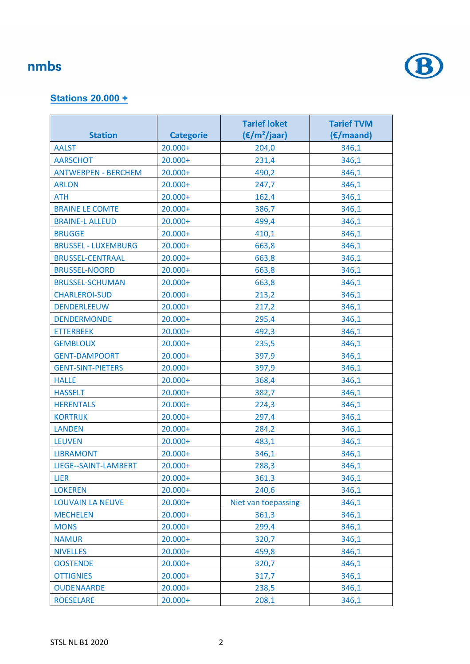

#### **Stations 20.000 +**

|                            |                  | <b>Tarief loket</b>    | <b>Tarief TVM</b> |
|----------------------------|------------------|------------------------|-------------------|
| <b>Station</b>             | <b>Categorie</b> | $(\epsilon/m^2$ /jaar) | (E/maand)         |
| <b>AALST</b>               | $20.000+$        | 204,0                  | 346,1             |
| <b>AARSCHOT</b>            | $20.000+$        | 231,4                  | 346,1             |
| <b>ANTWERPEN - BERCHEM</b> | $20.000+$        | 490,2                  | 346,1             |
| <b>ARLON</b>               | 20.000+          | 247,7                  | 346,1             |
| <b>ATH</b>                 | $20.000+$        | 162,4                  | 346,1             |
| <b>BRAINE LE COMTE</b>     | $20.000+$        | 386,7                  | 346,1             |
| <b>BRAINE-L ALLEUD</b>     | $20.000+$        | 499,4                  | 346,1             |
| <b>BRUGGE</b>              | $20.000+$        | 410,1                  | 346,1             |
| <b>BRUSSEL - LUXEMBURG</b> | $20.000+$        | 663,8                  | 346,1             |
| <b>BRUSSEL-CENTRAAL</b>    | 20.000+          | 663,8                  | 346,1             |
| <b>BRUSSEL-NOORD</b>       | $20.000+$        | 663,8                  | 346,1             |
| <b>BRUSSEL-SCHUMAN</b>     | $20.000+$        | 663,8                  | 346,1             |
| <b>CHARLEROI-SUD</b>       | $20.000+$        | 213,2                  | 346,1             |
| <b>DENDERLEEUW</b>         | $20.000+$        | 217,2                  | 346,1             |
| <b>DENDERMONDE</b>         | $20.000+$        | 295,4                  | 346,1             |
| <b>ETTERBEEK</b>           | $20.000+$        | 492,3                  | 346,1             |
| <b>GEMBLOUX</b>            | $20.000+$        | 235,5                  | 346,1             |
| <b>GENT-DAMPOORT</b>       | $20.000+$        | 397,9                  | 346,1             |
| <b>GENT-SINT-PIETERS</b>   | $20.000+$        | 397,9                  | 346,1             |
| <b>HALLE</b>               | $20.000+$        | 368,4                  | 346,1             |
| <b>HASSELT</b>             | 20.000+          | 382,7                  | 346,1             |
| <b>HERENTALS</b>           | $20.000+$        | 224,3                  | 346,1             |
| <b>KORTRIJK</b>            | $20.000+$        | 297,4                  | 346,1             |
| <b>LANDEN</b>              | $20.000+$        | 284,2                  | 346,1             |
| <b>LEUVEN</b>              | $20.000+$        | 483,1                  | 346,1             |
| <b>LIBRAMONT</b>           | $20.000+$        | 346,1                  | 346,1             |
| LIEGE--SAINT-LAMBERT       | $20.000+$        | 288,3                  | 346,1             |
| <b>LIER</b>                | $20.000+$        | 361,3                  | 346,1             |
| <b>LOKEREN</b>             | $20.000+$        | 240,6                  | 346,1             |
| <b>LOUVAIN LA NEUVE</b>    | $20.000+$        | Niet van toepassing    | 346,1             |
| <b>MECHELEN</b>            | $20.000+$        | 361,3                  | 346,1             |
| <b>MONS</b>                | $20.000+$        | 299,4                  | 346,1             |
| <b>NAMUR</b>               | 20.000+          | 320,7                  | 346,1             |
| <b>NIVELLES</b>            | $20.000+$        | 459,8                  | 346,1             |
| <b>OOSTENDE</b>            | $20.000+$        | 320,7                  | 346,1             |
| <b>OTTIGNIES</b>           | $20.000+$        | 317,7                  | 346,1             |
| <b>OUDENAARDE</b>          | $20.000+$        | 238,5                  | 346,1             |
| <b>ROESELARE</b>           | $20.000+$        | 208,1                  | 346,1             |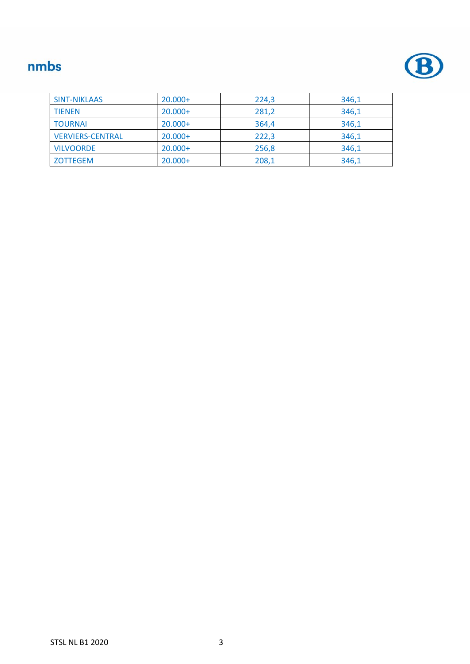

| <b>SINT-NIKLAAS</b>     | $20.000+$ | 224,3 | 346,1 |
|-------------------------|-----------|-------|-------|
| <b>TIENEN</b>           | $20.000+$ | 281,2 | 346,1 |
| <b>TOURNAI</b>          | $20.000+$ | 364,4 | 346,1 |
| <b>VERVIERS-CENTRAL</b> | $20.000+$ | 222,3 | 346,1 |
| <b>VILVOORDE</b>        | $20.000+$ | 256,8 | 346,1 |
| <b>ZOTTEGEM</b>         | $20.000+$ | 208,1 | 346,1 |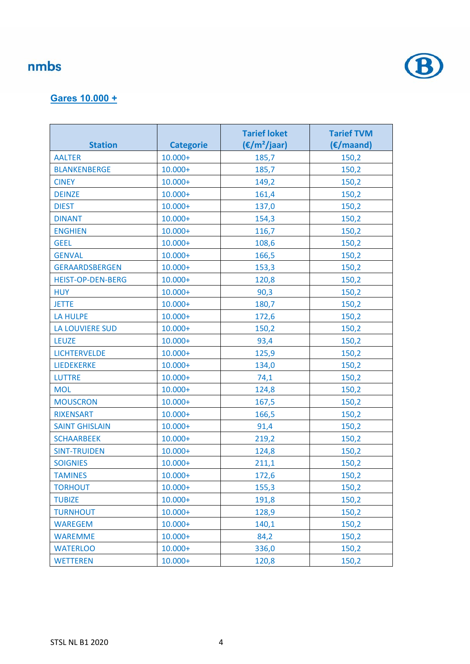

#### **Gares 10.000 +**

| <b>Station</b>           | <b>Categorie</b> | <b>Tarief loket</b><br>$(\epsilon/m^2$ /jaar) | <b>Tarief TVM</b><br>(€/maand) |
|--------------------------|------------------|-----------------------------------------------|--------------------------------|
| <b>AALTER</b>            | $10.000+$        | 185,7                                         | 150,2                          |
| <b>BLANKENBERGE</b>      | $10.000 +$       | 185,7                                         | 150,2                          |
| <b>CINEY</b>             | $10.000+$        | 149,2                                         | 150,2                          |
| <b>DEINZE</b>            | $10.000+$        | 161,4                                         | 150,2                          |
| <b>DIEST</b>             | $10.000 +$       | 137,0                                         | 150,2                          |
| <b>DINANT</b>            | $10.000+$        | 154,3                                         | 150,2                          |
| <b>ENGHIEN</b>           | $10.000+$        | 116,7                                         | 150,2                          |
| <b>GEEL</b>              | $10.000 +$       | 108,6                                         | 150,2                          |
| <b>GENVAL</b>            | $10.000 +$       | 166,5                                         | 150,2                          |
| <b>GERAARDSBERGEN</b>    | $10.000 +$       | 153,3                                         | 150,2                          |
| <b>HEIST-OP-DEN-BERG</b> | $10.000 +$       | 120,8                                         | 150,2                          |
| <b>HUY</b>               | $10.000+$        | 90,3                                          | 150,2                          |
| <b>JETTE</b>             | $10.000 +$       | 180,7                                         | 150,2                          |
| LA HULPE                 | $10.000 +$       | 172,6                                         | 150,2                          |
| <b>LA LOUVIERE SUD</b>   | $10.000+$        | 150,2                                         | 150,2                          |
| <b>LEUZE</b>             | $10.000+$        | 93,4                                          | 150,2                          |
| <b>LICHTERVELDE</b>      | $10.000 +$       | 125,9                                         | 150,2                          |
| <b>LIEDEKERKE</b>        | $10.000 +$       | 134,0                                         | 150,2                          |
| <b>LUTTRE</b>            | $10.000 +$       | 74,1                                          | 150,2                          |
| <b>MOL</b>               | $10.000+$        | 124,8                                         | 150,2                          |
| <b>MOUSCRON</b>          | $10.000 +$       | 167,5                                         | 150,2                          |
| <b>RIXENSART</b>         | $10.000+$        | 166,5                                         | 150,2                          |
| <b>SAINT GHISLAIN</b>    | $10.000 +$       | 91,4                                          | 150,2                          |
| <b>SCHAARBEEK</b>        | $10.000+$        | 219,2                                         | 150,2                          |
| <b>SINT-TRUIDEN</b>      | $10.000+$        | 124,8                                         | 150,2                          |
| <b>SOIGNIES</b>          | $10.000 +$       | 211,1                                         | 150,2                          |
| <b>TAMINES</b>           | $10.000+$        | 172,6                                         | 150,2                          |
| <b>TORHOUT</b>           | $10.000+$        | 155,3                                         | 150,2                          |
| <b>TUBIZE</b>            | $10.000+$        | 191,8                                         | 150,2                          |
| <b>TURNHOUT</b>          | $10.000 +$       | 128,9                                         | 150,2                          |
| <b>WAREGEM</b>           | $10.000 +$       | 140,1                                         | 150,2                          |
| <b>WAREMME</b>           | $10.000+$        | 84,2                                          | 150,2                          |
| <b>WATERLOO</b>          | $10.000+$        | 336,0                                         | 150,2                          |
| <b>WETTEREN</b>          | $10.000+$        | 120,8                                         | 150,2                          |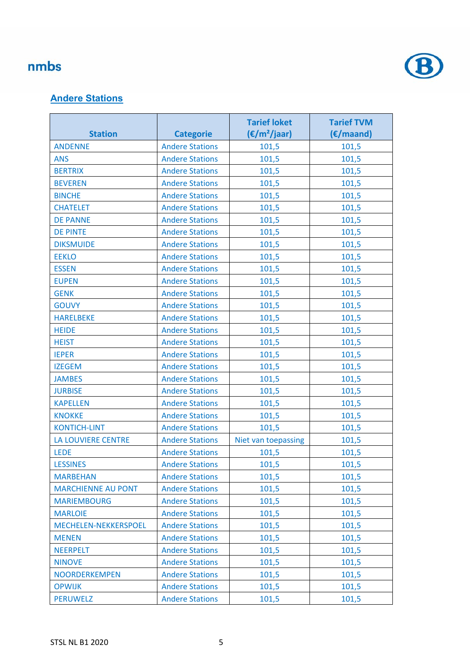

#### **Andere Stations**

|                           |                        | <b>Tarief loket</b>    | <b>Tarief TVM</b> |
|---------------------------|------------------------|------------------------|-------------------|
| <b>Station</b>            | <b>Categorie</b>       | $(\epsilon/m^2$ /jaar) | (€/maand)         |
| <b>ANDENNE</b>            | <b>Andere Stations</b> | 101,5                  | 101,5             |
| <b>ANS</b>                | <b>Andere Stations</b> | 101,5                  | 101,5             |
| <b>BERTRIX</b>            | <b>Andere Stations</b> | 101,5                  | 101,5             |
| <b>BEVEREN</b>            | <b>Andere Stations</b> | 101,5                  | 101,5             |
| <b>BINCHE</b>             | <b>Andere Stations</b> | 101,5                  | 101,5             |
| <b>CHATELET</b>           | <b>Andere Stations</b> | 101,5                  | 101,5             |
| <b>DE PANNE</b>           | <b>Andere Stations</b> | 101,5                  | 101,5             |
| <b>DE PINTE</b>           | <b>Andere Stations</b> | 101,5                  | 101,5             |
| <b>DIKSMUIDE</b>          | <b>Andere Stations</b> | 101,5                  | 101,5             |
| <b>EEKLO</b>              | <b>Andere Stations</b> | 101,5                  | 101,5             |
| <b>ESSEN</b>              | <b>Andere Stations</b> | 101,5                  | 101,5             |
| <b>EUPEN</b>              | <b>Andere Stations</b> | 101,5                  | 101,5             |
| <b>GENK</b>               | <b>Andere Stations</b> | 101,5                  | 101,5             |
| <b>GOUVY</b>              | <b>Andere Stations</b> | 101,5                  | 101,5             |
| <b>HARELBEKE</b>          | <b>Andere Stations</b> | 101,5                  | 101,5             |
| <b>HEIDE</b>              | <b>Andere Stations</b> | 101,5                  | 101,5             |
| <b>HEIST</b>              | <b>Andere Stations</b> | 101,5                  | 101,5             |
| <b>IEPER</b>              | <b>Andere Stations</b> | 101,5                  | 101,5             |
| <b>IZEGEM</b>             | <b>Andere Stations</b> | 101,5                  | 101,5             |
| <b>JAMBES</b>             | <b>Andere Stations</b> | 101,5                  | 101,5             |
| <b>JURBISE</b>            | <b>Andere Stations</b> | 101,5                  | 101,5             |
| <b>KAPELLEN</b>           | <b>Andere Stations</b> | 101,5                  | 101,5             |
| <b>KNOKKE</b>             | <b>Andere Stations</b> | 101,5                  | 101,5             |
| <b>KONTICH-LINT</b>       | <b>Andere Stations</b> | 101,5                  | 101,5             |
| <b>LA LOUVIERE CENTRE</b> | <b>Andere Stations</b> | Niet van toepassing    | 101,5             |
| <b>LEDE</b>               | <b>Andere Stations</b> | 101,5                  | 101,5             |
| <b>LESSINES</b>           | <b>Andere Stations</b> | 101,5                  | 101,5             |
| <b>MARBEHAN</b>           | <b>Andere Stations</b> | 101,5                  | 101,5             |
| <b>MARCHIENNE AU PONT</b> | <b>Andere Stations</b> | 101,5                  | 101,5             |
| <b>MARIEMBOURG</b>        | <b>Andere Stations</b> | 101,5                  | 101,5             |
| <b>MARLOIE</b>            | <b>Andere Stations</b> | 101,5                  | 101,5             |
| MECHELEN-NEKKERSPOEL      | <b>Andere Stations</b> | 101,5                  | 101,5             |
| <b>MENEN</b>              | <b>Andere Stations</b> | 101,5                  | 101,5             |
| <b>NEERPELT</b>           | <b>Andere Stations</b> | 101,5                  | 101,5             |
| <b>NINOVE</b>             | <b>Andere Stations</b> | 101,5                  | 101,5             |
| <b>NOORDERKEMPEN</b>      | <b>Andere Stations</b> | 101,5                  | 101,5             |
| <b>OPWIJK</b>             | <b>Andere Stations</b> | 101,5                  | 101,5             |
| <b>PERUWELZ</b>           | <b>Andere Stations</b> | 101,5                  | 101,5             |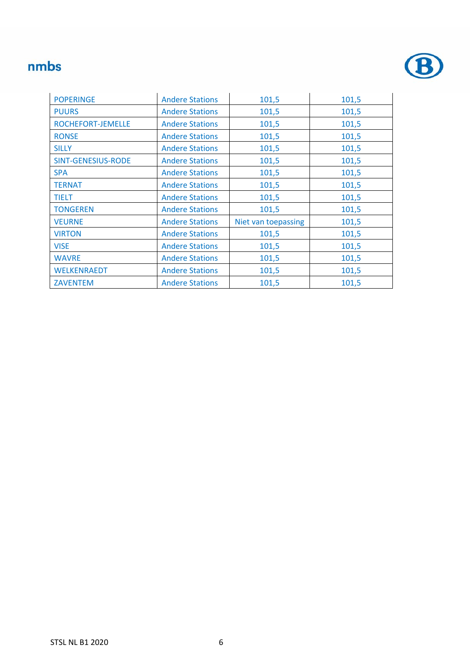

| <b>POPERINGE</b>          | <b>Andere Stations</b> | 101,5               | 101,5 |
|---------------------------|------------------------|---------------------|-------|
| <b>PUURS</b>              | <b>Andere Stations</b> | 101,5               | 101,5 |
| ROCHEFORT-JEMELLE         | <b>Andere Stations</b> | 101,5               | 101,5 |
| <b>RONSE</b>              | <b>Andere Stations</b> | 101,5               | 101,5 |
| <b>SILLY</b>              | <b>Andere Stations</b> | 101,5               | 101,5 |
| <b>SINT-GENESIUS-RODE</b> | <b>Andere Stations</b> | 101,5               | 101,5 |
| <b>SPA</b>                | <b>Andere Stations</b> | 101,5               | 101,5 |
| <b>TERNAT</b>             | <b>Andere Stations</b> | 101,5               | 101,5 |
| <b>TIELT</b>              | <b>Andere Stations</b> | 101,5               | 101,5 |
| <b>TONGEREN</b>           | <b>Andere Stations</b> | 101,5               | 101,5 |
| <b>VEURNE</b>             | <b>Andere Stations</b> | Niet van toepassing | 101,5 |
| <b>VIRTON</b>             | <b>Andere Stations</b> | 101,5               | 101,5 |
| <b>VISE</b>               | <b>Andere Stations</b> | 101,5               | 101,5 |
| <b>WAVRE</b>              | <b>Andere Stations</b> | 101,5               | 101,5 |
| <b>WELKENRAEDT</b>        | <b>Andere Stations</b> | 101,5               | 101,5 |
| <b>ZAVENTEM</b>           | <b>Andere Stations</b> | 101,5               | 101,5 |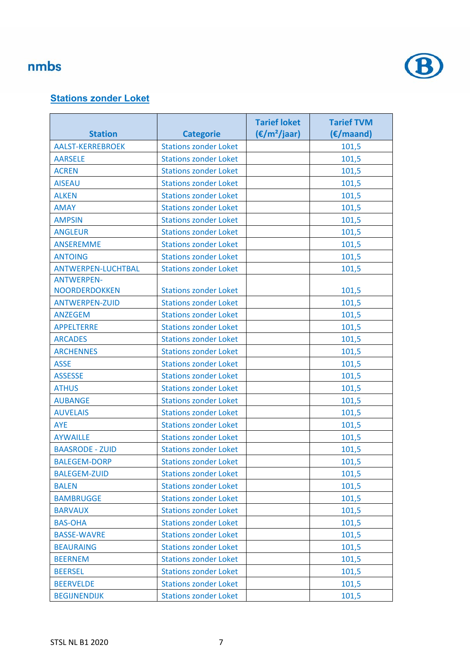

#### **Stations zonder Loket**

|                           |                              | <b>Tarief loket</b>    | <b>Tarief TVM</b> |
|---------------------------|------------------------------|------------------------|-------------------|
| <b>Station</b>            | <b>Categorie</b>             | $(\epsilon/m^2$ /jaar) | (€/maand)         |
| <b>AALST-KERREBROEK</b>   | <b>Stations zonder Loket</b> |                        | 101,5             |
| <b>AARSELE</b>            | <b>Stations zonder Loket</b> |                        | 101,5             |
| <b>ACREN</b>              | <b>Stations zonder Loket</b> |                        | 101,5             |
| <b>AISEAU</b>             | <b>Stations zonder Loket</b> |                        | 101,5             |
| <b>ALKEN</b>              | <b>Stations zonder Loket</b> |                        | 101,5             |
| <b>AMAY</b>               | <b>Stations zonder Loket</b> |                        | 101,5             |
| <b>AMPSIN</b>             | <b>Stations zonder Loket</b> |                        | 101,5             |
| <b>ANGLEUR</b>            | <b>Stations zonder Loket</b> |                        | 101,5             |
| <b>ANSEREMME</b>          | <b>Stations zonder Loket</b> |                        | 101,5             |
| <b>ANTOING</b>            | <b>Stations zonder Loket</b> |                        | 101,5             |
| <b>ANTWERPEN-LUCHTBAL</b> | <b>Stations zonder Loket</b> |                        | 101,5             |
| <b>ANTWERPEN-</b>         |                              |                        |                   |
| <b>NOORDERDOKKEN</b>      | <b>Stations zonder Loket</b> |                        | 101,5             |
| <b>ANTWERPEN-ZUID</b>     | <b>Stations zonder Loket</b> |                        | 101,5             |
| <b>ANZEGEM</b>            | <b>Stations zonder Loket</b> |                        | 101,5             |
| <b>APPELTERRE</b>         | <b>Stations zonder Loket</b> |                        | 101,5             |
| <b>ARCADES</b>            | <b>Stations zonder Loket</b> |                        | 101,5             |
| <b>ARCHENNES</b>          | <b>Stations zonder Loket</b> |                        | 101,5             |
| <b>ASSE</b>               | <b>Stations zonder Loket</b> |                        | 101,5             |
| <b>ASSESSE</b>            | <b>Stations zonder Loket</b> |                        | 101,5             |
| <b>ATHUS</b>              | <b>Stations zonder Loket</b> |                        | 101,5             |
| <b>AUBANGE</b>            | <b>Stations zonder Loket</b> |                        | 101,5             |
| <b>AUVELAIS</b>           | <b>Stations zonder Loket</b> |                        | 101,5             |
| AYE                       | <b>Stations zonder Loket</b> |                        | 101,5             |
| <b>AYWAILLE</b>           | <b>Stations zonder Loket</b> |                        | 101,5             |
| <b>BAASRODE - ZUID</b>    | <b>Stations zonder Loket</b> |                        | 101,5             |
| <b>BALEGEM-DORP</b>       | <b>Stations zonder Loket</b> |                        | 101,5             |
| <b>BALEGEM-ZUID</b>       | <b>Stations zonder Loket</b> |                        | 101,5             |
| <b>BALEN</b>              | <b>Stations zonder Loket</b> |                        | 101,5             |
| <b>BAMBRUGGE</b>          | <b>Stations zonder Loket</b> |                        | 101,5             |
| <b>BARVAUX</b>            | <b>Stations zonder Loket</b> |                        | 101,5             |
| <b>BAS-OHA</b>            | <b>Stations zonder Loket</b> |                        | 101,5             |
| <b>BASSE-WAVRE</b>        | <b>Stations zonder Loket</b> |                        | 101,5             |
| <b>BEAURAING</b>          | <b>Stations zonder Loket</b> |                        | 101,5             |
| <b>BEERNEM</b>            | <b>Stations zonder Loket</b> |                        | 101,5             |
| <b>BEERSEL</b>            | <b>Stations zonder Loket</b> |                        | 101,5             |
| <b>BEERVELDE</b>          | <b>Stations zonder Loket</b> |                        | 101,5             |
| <b>BEGIJNENDIJK</b>       | <b>Stations zonder Loket</b> |                        | 101,5             |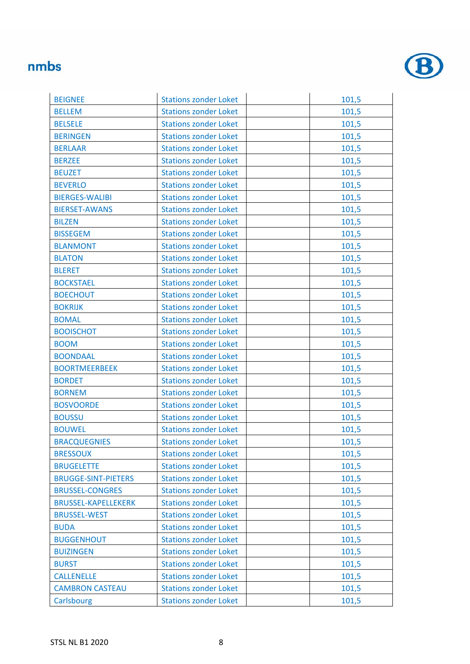

| <b>BEIGNEE</b>             | <b>Stations zonder Loket</b> | 101,5 |
|----------------------------|------------------------------|-------|
| <b>BELLEM</b>              | <b>Stations zonder Loket</b> | 101,5 |
| <b>BELSELE</b>             | <b>Stations zonder Loket</b> | 101,5 |
| <b>BERINGEN</b>            | <b>Stations zonder Loket</b> | 101,5 |
| <b>BERLAAR</b>             | <b>Stations zonder Loket</b> | 101,5 |
| <b>BERZEE</b>              | <b>Stations zonder Loket</b> | 101,5 |
| <b>BEUZET</b>              | <b>Stations zonder Loket</b> | 101,5 |
| <b>BEVERLO</b>             | <b>Stations zonder Loket</b> | 101,5 |
| <b>BIERGES-WALIBI</b>      | <b>Stations zonder Loket</b> | 101,5 |
| <b>BIERSET-AWANS</b>       | <b>Stations zonder Loket</b> | 101,5 |
| <b>BILZEN</b>              | <b>Stations zonder Loket</b> | 101,5 |
| <b>BISSEGEM</b>            | <b>Stations zonder Loket</b> | 101,5 |
| <b>BLANMONT</b>            | <b>Stations zonder Loket</b> | 101,5 |
| <b>BLATON</b>              | <b>Stations zonder Loket</b> | 101,5 |
| <b>BLERET</b>              | <b>Stations zonder Loket</b> | 101,5 |
| <b>BOCKSTAEL</b>           | <b>Stations zonder Loket</b> | 101,5 |
| <b>BOECHOUT</b>            | <b>Stations zonder Loket</b> | 101,5 |
| <b>BOKRIJK</b>             | <b>Stations zonder Loket</b> | 101,5 |
| <b>BOMAL</b>               | <b>Stations zonder Loket</b> | 101,5 |
| <b>BOOISCHOT</b>           | <b>Stations zonder Loket</b> | 101,5 |
| <b>BOOM</b>                | <b>Stations zonder Loket</b> | 101,5 |
| <b>BOONDAAL</b>            | <b>Stations zonder Loket</b> | 101,5 |
| <b>BOORTMEERBEEK</b>       | <b>Stations zonder Loket</b> | 101,5 |
| <b>BORDET</b>              | <b>Stations zonder Loket</b> | 101,5 |
| <b>BORNEM</b>              | <b>Stations zonder Loket</b> | 101,5 |
| <b>BOSVOORDE</b>           | <b>Stations zonder Loket</b> | 101,5 |
| <b>BOUSSU</b>              | <b>Stations zonder Loket</b> | 101,5 |
| <b>BOUWEL</b>              | <b>Stations zonder Loket</b> | 101,5 |
| <b>BRACQUEGNIES</b>        | <b>Stations zonder Loket</b> | 101,5 |
| <b>BRESSOUX</b>            | <b>Stations zonder Loket</b> | 101,5 |
| <b>BRUGELETTE</b>          | <b>Stations zonder Loket</b> | 101,5 |
| <b>BRUGGE-SINT-PIETERS</b> | <b>Stations zonder Loket</b> | 101,5 |
| <b>BRUSSEL-CONGRES</b>     | <b>Stations zonder Loket</b> | 101,5 |
| <b>BRUSSEL-KAPELLEKERK</b> | <b>Stations zonder Loket</b> | 101,5 |
| <b>BRUSSEL-WEST</b>        | <b>Stations zonder Loket</b> | 101,5 |
| <b>BUDA</b>                | <b>Stations zonder Loket</b> | 101,5 |
| <b>BUGGENHOUT</b>          | <b>Stations zonder Loket</b> | 101,5 |
| <b>BUIZINGEN</b>           | <b>Stations zonder Loket</b> | 101,5 |
| <b>BURST</b>               | <b>Stations zonder Loket</b> | 101,5 |
| <b>CALLENELLE</b>          | <b>Stations zonder Loket</b> | 101,5 |
| <b>CAMBRON CASTEAU</b>     | <b>Stations zonder Loket</b> | 101,5 |
| Carlsbourg                 | <b>Stations zonder Loket</b> | 101,5 |
|                            |                              |       |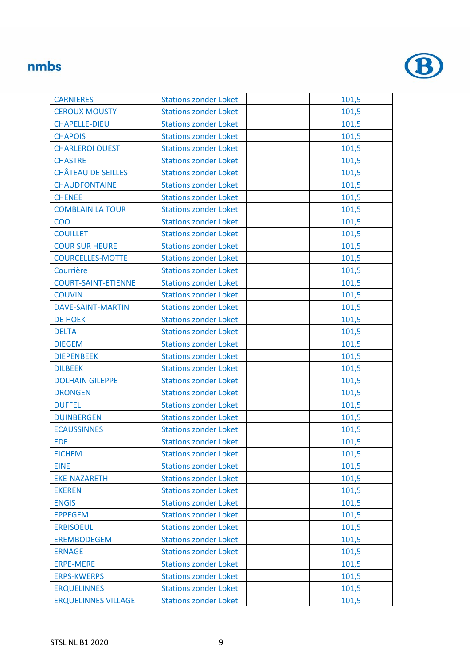

| <b>CARNIERES</b>           | <b>Stations zonder Loket</b> | 101,5 |
|----------------------------|------------------------------|-------|
| <b>CEROUX MOUSTY</b>       | <b>Stations zonder Loket</b> | 101,5 |
| <b>CHAPELLE-DIEU</b>       | <b>Stations zonder Loket</b> | 101,5 |
| <b>CHAPOIS</b>             | <b>Stations zonder Loket</b> | 101,5 |
| <b>CHARLEROI OUEST</b>     | <b>Stations zonder Loket</b> | 101,5 |
| <b>CHASTRE</b>             | <b>Stations zonder Loket</b> | 101,5 |
| <b>CHÂTEAU DE SEILLES</b>  | <b>Stations zonder Loket</b> | 101,5 |
| <b>CHAUDFONTAINE</b>       | <b>Stations zonder Loket</b> | 101,5 |
| <b>CHENEE</b>              | <b>Stations zonder Loket</b> | 101,5 |
| <b>COMBLAIN LA TOUR</b>    | <b>Stations zonder Loket</b> | 101,5 |
| <b>COO</b>                 | <b>Stations zonder Loket</b> | 101,5 |
| <b>COUILLET</b>            | <b>Stations zonder Loket</b> | 101,5 |
| <b>COUR SUR HEURE</b>      | <b>Stations zonder Loket</b> | 101,5 |
| <b>COURCELLES-MOTTE</b>    | <b>Stations zonder Loket</b> | 101,5 |
| Courrière                  | <b>Stations zonder Loket</b> | 101,5 |
| <b>COURT-SAINT-ETIENNE</b> | <b>Stations zonder Loket</b> | 101,5 |
| <b>COUVIN</b>              | <b>Stations zonder Loket</b> | 101,5 |
| <b>DAVE-SAINT-MARTIN</b>   | <b>Stations zonder Loket</b> | 101,5 |
| <b>DE HOEK</b>             | <b>Stations zonder Loket</b> | 101,5 |
| <b>DELTA</b>               | <b>Stations zonder Loket</b> | 101,5 |
| <b>DIEGEM</b>              | <b>Stations zonder Loket</b> | 101,5 |
| <b>DIEPENBEEK</b>          | <b>Stations zonder Loket</b> | 101,5 |
| <b>DILBEEK</b>             | <b>Stations zonder Loket</b> | 101,5 |
| <b>DOLHAIN GILEPPE</b>     | <b>Stations zonder Loket</b> | 101,5 |
| <b>DRONGEN</b>             | <b>Stations zonder Loket</b> | 101,5 |
| <b>DUFFEL</b>              | <b>Stations zonder Loket</b> | 101,5 |
| <b>DUINBERGEN</b>          | <b>Stations zonder Loket</b> | 101,5 |
| <b>ECAUSSINNES</b>         | <b>Stations zonder Loket</b> | 101,5 |
| <b>EDE</b>                 | <b>Stations zonder Loket</b> | 101,5 |
| <b>EICHEM</b>              | <b>Stations zonder Loket</b> | 101,5 |
| <b>EINE</b>                | <b>Stations zonder Loket</b> | 101,5 |
| <b>EKE-NAZARETH</b>        | <b>Stations zonder Loket</b> | 101,5 |
| <b>EKEREN</b>              | <b>Stations zonder Loket</b> | 101,5 |
| <b>ENGIS</b>               | <b>Stations zonder Loket</b> | 101,5 |
| <b>EPPEGEM</b>             | <b>Stations zonder Loket</b> | 101,5 |
| <b>ERBISOEUL</b>           | <b>Stations zonder Loket</b> | 101,5 |
| <b>EREMBODEGEM</b>         | <b>Stations zonder Loket</b> | 101,5 |
| <b>ERNAGE</b>              | <b>Stations zonder Loket</b> | 101,5 |
| <b>ERPE-MERE</b>           | <b>Stations zonder Loket</b> | 101,5 |
| <b>ERPS-KWERPS</b>         | <b>Stations zonder Loket</b> | 101,5 |
| <b>ERQUELINNES</b>         | <b>Stations zonder Loket</b> | 101,5 |
| <b>ERQUELINNES VILLAGE</b> | <b>Stations zonder Loket</b> | 101,5 |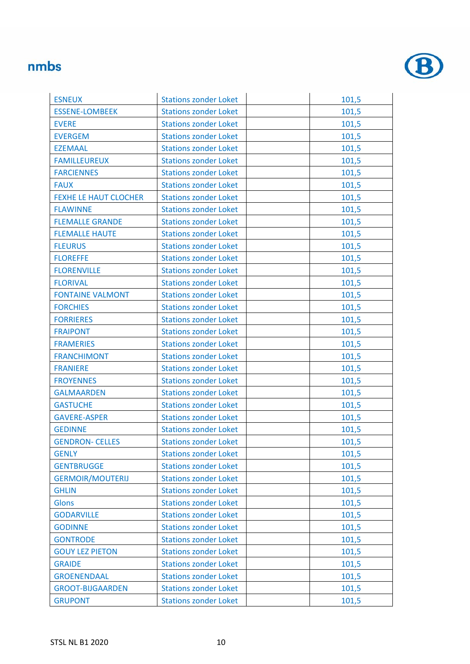

| <b>ESNEUX</b>                | <b>Stations zonder Loket</b> | 101,5 |
|------------------------------|------------------------------|-------|
| <b>ESSENE-LOMBEEK</b>        | <b>Stations zonder Loket</b> | 101,5 |
| <b>EVERE</b>                 | <b>Stations zonder Loket</b> | 101,5 |
| <b>EVERGEM</b>               | <b>Stations zonder Loket</b> | 101,5 |
| <b>EZEMAAL</b>               | <b>Stations zonder Loket</b> | 101,5 |
| <b>FAMILLEUREUX</b>          | <b>Stations zonder Loket</b> | 101,5 |
| <b>FARCIENNES</b>            | <b>Stations zonder Loket</b> | 101,5 |
| <b>FAUX</b>                  | <b>Stations zonder Loket</b> | 101,5 |
| <b>FEXHE LE HAUT CLOCHER</b> | <b>Stations zonder Loket</b> | 101,5 |
| <b>FLAWINNE</b>              | <b>Stations zonder Loket</b> | 101,5 |
| <b>FLEMALLE GRANDE</b>       | <b>Stations zonder Loket</b> | 101,5 |
| <b>FLEMALLE HAUTE</b>        | <b>Stations zonder Loket</b> | 101,5 |
| <b>FLEURUS</b>               | <b>Stations zonder Loket</b> | 101,5 |
| <b>FLOREFFE</b>              | <b>Stations zonder Loket</b> | 101,5 |
| <b>FLORENVILLE</b>           | <b>Stations zonder Loket</b> | 101,5 |
| <b>FLORIVAL</b>              | <b>Stations zonder Loket</b> | 101,5 |
| <b>FONTAINE VALMONT</b>      | <b>Stations zonder Loket</b> | 101,5 |
| <b>FORCHIES</b>              | <b>Stations zonder Loket</b> | 101,5 |
| <b>FORRIERES</b>             | <b>Stations zonder Loket</b> | 101,5 |
| <b>FRAIPONT</b>              | <b>Stations zonder Loket</b> | 101,5 |
| <b>FRAMERIES</b>             | <b>Stations zonder Loket</b> | 101,5 |
| <b>FRANCHIMONT</b>           | <b>Stations zonder Loket</b> | 101,5 |
| <b>FRANIERE</b>              | <b>Stations zonder Loket</b> | 101,5 |
| <b>FROYENNES</b>             | <b>Stations zonder Loket</b> | 101,5 |
| <b>GALMAARDEN</b>            | <b>Stations zonder Loket</b> | 101,5 |
| <b>GASTUCHE</b>              | <b>Stations zonder Loket</b> | 101,5 |
| <b>GAVERE-ASPER</b>          | <b>Stations zonder Loket</b> | 101,5 |
| <b>GEDINNE</b>               | <b>Stations zonder Loket</b> | 101,5 |
| <b>GENDRON- CELLES</b>       | <b>Stations zonder Loket</b> | 101,5 |
| <b>GENLY</b>                 | <b>Stations zonder Loket</b> | 101,5 |
| <b>GENTBRUGGE</b>            | <b>Stations zonder Loket</b> | 101,5 |
| <b>GERMOIR/MOUTERIJ</b>      | <b>Stations zonder Loket</b> | 101,5 |
| <b>GHLIN</b>                 | <b>Stations zonder Loket</b> | 101,5 |
| <b>Glons</b>                 | <b>Stations zonder Loket</b> | 101,5 |
| <b>GODARVILLE</b>            | <b>Stations zonder Loket</b> | 101,5 |
| <b>GODINNE</b>               | <b>Stations zonder Loket</b> | 101,5 |
| <b>GONTRODE</b>              | <b>Stations zonder Loket</b> | 101,5 |
| <b>GOUY LEZ PIETON</b>       | <b>Stations zonder Loket</b> | 101,5 |
| <b>GRAIDE</b>                | <b>Stations zonder Loket</b> | 101,5 |
| <b>GROENENDAAL</b>           | <b>Stations zonder Loket</b> | 101,5 |
| <b>GROOT-BIJGAARDEN</b>      | <b>Stations zonder Loket</b> | 101,5 |
| <b>GRUPONT</b>               | <b>Stations zonder Loket</b> | 101,5 |
|                              |                              |       |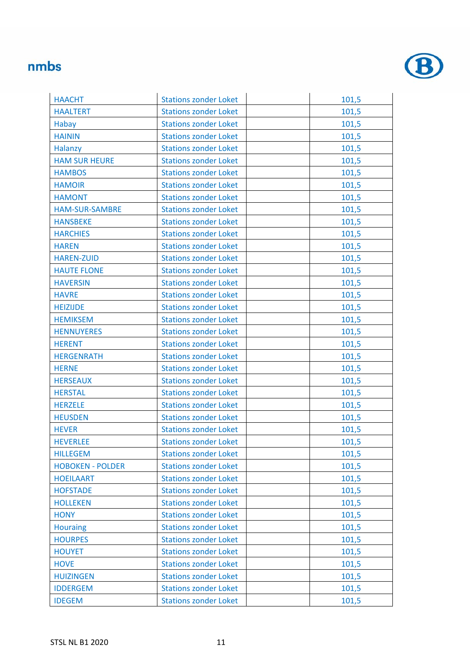

| <b>HAACHT</b>           | <b>Stations zonder Loket</b> | 101,5 |
|-------------------------|------------------------------|-------|
| <b>HAALTERT</b>         | <b>Stations zonder Loket</b> | 101,5 |
| Habay                   | <b>Stations zonder Loket</b> | 101,5 |
| <b>HAININ</b>           | <b>Stations zonder Loket</b> | 101,5 |
| Halanzy                 | <b>Stations zonder Loket</b> | 101,5 |
| <b>HAM SUR HEURE</b>    | <b>Stations zonder Loket</b> | 101,5 |
| <b>HAMBOS</b>           | <b>Stations zonder Loket</b> | 101,5 |
| <b>HAMOIR</b>           | <b>Stations zonder Loket</b> | 101,5 |
| <b>HAMONT</b>           | <b>Stations zonder Loket</b> | 101,5 |
| <b>HAM-SUR-SAMBRE</b>   | <b>Stations zonder Loket</b> | 101,5 |
| <b>HANSBEKE</b>         | <b>Stations zonder Loket</b> | 101,5 |
| <b>HARCHIES</b>         | <b>Stations zonder Loket</b> | 101,5 |
| <b>HAREN</b>            | <b>Stations zonder Loket</b> | 101,5 |
| <b>HAREN-ZUID</b>       | <b>Stations zonder Loket</b> | 101,5 |
| <b>HAUTE FLONE</b>      | <b>Stations zonder Loket</b> | 101,5 |
| <b>HAVERSIN</b>         | <b>Stations zonder Loket</b> | 101,5 |
| <b>HAVRE</b>            | <b>Stations zonder Loket</b> | 101,5 |
| <b>HEIZIJDE</b>         | <b>Stations zonder Loket</b> | 101,5 |
| <b>HEMIKSEM</b>         | <b>Stations zonder Loket</b> | 101,5 |
| <b>HENNUYERES</b>       | <b>Stations zonder Loket</b> | 101,5 |
| <b>HERENT</b>           | <b>Stations zonder Loket</b> | 101,5 |
| <b>HERGENRATH</b>       | <b>Stations zonder Loket</b> | 101,5 |
| <b>HERNE</b>            | <b>Stations zonder Loket</b> | 101,5 |
| <b>HERSEAUX</b>         | <b>Stations zonder Loket</b> | 101,5 |
| <b>HERSTAL</b>          | <b>Stations zonder Loket</b> | 101,5 |
| <b>HERZELE</b>          | <b>Stations zonder Loket</b> | 101,5 |
| <b>HEUSDEN</b>          | <b>Stations zonder Loket</b> | 101,5 |
| <b>HEVER</b>            | <b>Stations zonder Loket</b> | 101,5 |
| <b>HEVERLEE</b>         | <b>Stations zonder Loket</b> | 101,5 |
| <b>HILLEGEM</b>         | <b>Stations zonder Loket</b> | 101,5 |
| <b>HOBOKEN - POLDER</b> | <b>Stations zonder Loket</b> | 101,5 |
| <b>HOEILAART</b>        | <b>Stations zonder Loket</b> | 101,5 |
| <b>HOFSTADE</b>         | <b>Stations zonder Loket</b> | 101,5 |
| <b>HOLLEKEN</b>         | <b>Stations zonder Loket</b> | 101,5 |
| <b>HONY</b>             | <b>Stations zonder Loket</b> | 101,5 |
| <b>Houraing</b>         | <b>Stations zonder Loket</b> | 101,5 |
| <b>HOURPES</b>          | <b>Stations zonder Loket</b> | 101,5 |
| <b>HOUYET</b>           | <b>Stations zonder Loket</b> | 101,5 |
| <b>HOVE</b>             | <b>Stations zonder Loket</b> | 101,5 |
| <b>HUIZINGEN</b>        | <b>Stations zonder Loket</b> | 101,5 |
| <b>IDDERGEM</b>         | <b>Stations zonder Loket</b> | 101,5 |
| <b>IDEGEM</b>           | <b>Stations zonder Loket</b> | 101,5 |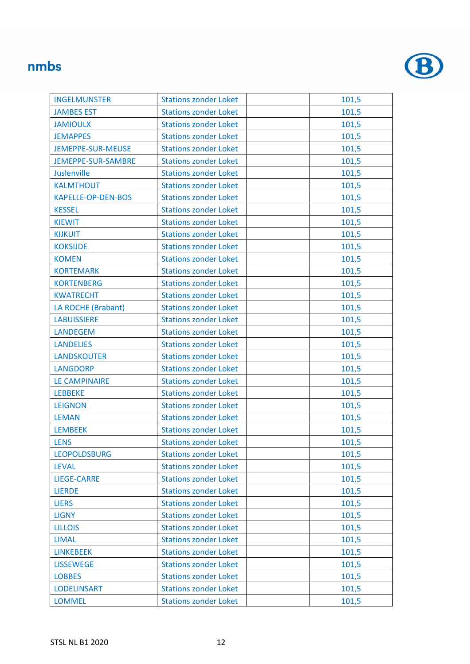

| <b>INGELMUNSTER</b>       | <b>Stations zonder Loket</b> | 101,5 |
|---------------------------|------------------------------|-------|
| <b>JAMBES EST</b>         | <b>Stations zonder Loket</b> | 101,5 |
| <b>JAMIOULX</b>           | <b>Stations zonder Loket</b> | 101,5 |
| <b>JEMAPPES</b>           | <b>Stations zonder Loket</b> | 101,5 |
| <b>JEMEPPE-SUR-MEUSE</b>  | <b>Stations zonder Loket</b> | 101,5 |
| JEMEPPE-SUR-SAMBRE        | <b>Stations zonder Loket</b> | 101,5 |
| Juslenville               | <b>Stations zonder Loket</b> | 101,5 |
| <b>KALMTHOUT</b>          | <b>Stations zonder Loket</b> | 101,5 |
| <b>KAPELLE-OP-DEN-BOS</b> | <b>Stations zonder Loket</b> | 101,5 |
| <b>KESSEL</b>             | <b>Stations zonder Loket</b> | 101,5 |
| <b>KIEWIT</b>             | <b>Stations zonder Loket</b> | 101,5 |
| <b>KIJKUIT</b>            | <b>Stations zonder Loket</b> | 101,5 |
| <b>KOKSIJDE</b>           | <b>Stations zonder Loket</b> | 101,5 |
| <b>KOMEN</b>              | <b>Stations zonder Loket</b> | 101,5 |
| <b>KORTEMARK</b>          | <b>Stations zonder Loket</b> | 101,5 |
| <b>KORTENBERG</b>         | <b>Stations zonder Loket</b> | 101,5 |
| <b>KWATRECHT</b>          | <b>Stations zonder Loket</b> | 101,5 |
| LA ROCHE (Brabant)        | <b>Stations zonder Loket</b> | 101,5 |
| <b>LABUISSIERE</b>        | <b>Stations zonder Loket</b> | 101,5 |
| <b>LANDEGEM</b>           | <b>Stations zonder Loket</b> | 101,5 |
| <b>LANDELIES</b>          | <b>Stations zonder Loket</b> | 101,5 |
| <b>LANDSKOUTER</b>        | <b>Stations zonder Loket</b> | 101,5 |
| <b>LANGDORP</b>           | <b>Stations zonder Loket</b> | 101,5 |
| <b>LE CAMPINAIRE</b>      | <b>Stations zonder Loket</b> | 101,5 |
| <b>LEBBEKE</b>            | <b>Stations zonder Loket</b> | 101,5 |
| <b>LEIGNON</b>            | <b>Stations zonder Loket</b> | 101,5 |
| <b>LEMAN</b>              | <b>Stations zonder Loket</b> | 101,5 |
| <b>LEMBEEK</b>            | <b>Stations zonder Loket</b> | 101,5 |
| <b>LENS</b>               | <b>Stations zonder Loket</b> | 101,5 |
| <b>LEOPOLDSBURG</b>       | <b>Stations zonder Loket</b> | 101,5 |
| <b>LEVAL</b>              | <b>Stations zonder Loket</b> | 101,5 |
| <b>LIEGE-CARRE</b>        | <b>Stations zonder Loket</b> | 101,5 |
| <b>LIERDE</b>             | <b>Stations zonder Loket</b> | 101,5 |
| <b>LIERS</b>              | <b>Stations zonder Loket</b> | 101,5 |
| <b>LIGNY</b>              | <b>Stations zonder Loket</b> | 101,5 |
| <b>LILLOIS</b>            | <b>Stations zonder Loket</b> | 101,5 |
| <b>LIMAL</b>              | <b>Stations zonder Loket</b> | 101,5 |
| <b>LINKEBEEK</b>          | <b>Stations zonder Loket</b> | 101,5 |
| <b>LISSEWEGE</b>          | <b>Stations zonder Loket</b> | 101,5 |
| <b>LOBBES</b>             | <b>Stations zonder Loket</b> | 101,5 |
| <b>LODELINSART</b>        | <b>Stations zonder Loket</b> | 101,5 |
| <b>LOMMEL</b>             | <b>Stations zonder Loket</b> | 101,5 |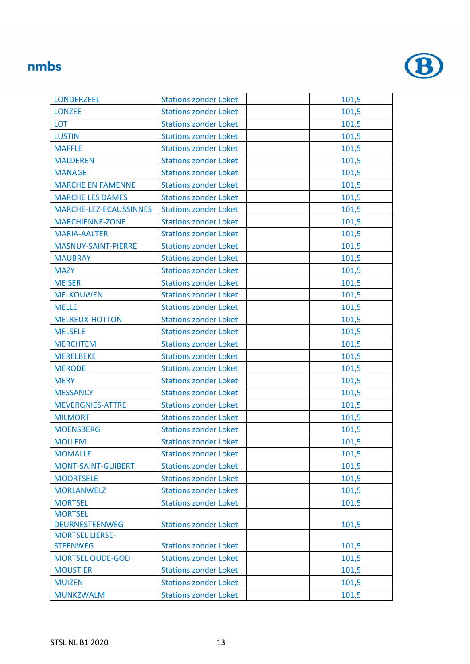

| <b>LONDERZEEL</b>         | <b>Stations zonder Loket</b> | 101,5 |
|---------------------------|------------------------------|-------|
| <b>LONZEE</b>             | <b>Stations zonder Loket</b> | 101,5 |
| <b>LOT</b>                | <b>Stations zonder Loket</b> | 101,5 |
| <b>LUSTIN</b>             | <b>Stations zonder Loket</b> | 101,5 |
| <b>MAFFLE</b>             | <b>Stations zonder Loket</b> | 101,5 |
| <b>MALDEREN</b>           | <b>Stations zonder Loket</b> | 101,5 |
| <b>MANAGE</b>             | <b>Stations zonder Loket</b> | 101,5 |
| <b>MARCHE EN FAMENNE</b>  | <b>Stations zonder Loket</b> | 101,5 |
| <b>MARCHE LES DAMES</b>   | <b>Stations zonder Loket</b> | 101,5 |
| MARCHE-LEZ-ECAUSSINNES    | <b>Stations zonder Loket</b> | 101,5 |
| <b>MARCHIENNE-ZONE</b>    | <b>Stations zonder Loket</b> | 101,5 |
| <b>MARIA-AALTER</b>       | <b>Stations zonder Loket</b> | 101,5 |
| MASNUY-SAINT-PIERRE       | <b>Stations zonder Loket</b> | 101,5 |
| <b>MAUBRAY</b>            | <b>Stations zonder Loket</b> | 101,5 |
| <b>MAZY</b>               | <b>Stations zonder Loket</b> | 101,5 |
| <b>MEISER</b>             | <b>Stations zonder Loket</b> | 101,5 |
| <b>MELKOUWEN</b>          | <b>Stations zonder Loket</b> | 101,5 |
| <b>MELLE</b>              | <b>Stations zonder Loket</b> | 101,5 |
| <b>MELREUX-HOTTON</b>     | <b>Stations zonder Loket</b> | 101,5 |
| <b>MELSELE</b>            | <b>Stations zonder Loket</b> | 101,5 |
| <b>MERCHTEM</b>           | <b>Stations zonder Loket</b> | 101,5 |
| <b>MERELBEKE</b>          | <b>Stations zonder Loket</b> | 101,5 |
| <b>MERODE</b>             | <b>Stations zonder Loket</b> | 101,5 |
| <b>MERY</b>               | <b>Stations zonder Loket</b> | 101,5 |
| <b>MESSANCY</b>           | <b>Stations zonder Loket</b> | 101,5 |
| <b>MEVERGNIES-ATTRE</b>   | <b>Stations zonder Loket</b> | 101,5 |
| <b>MILMORT</b>            | <b>Stations zonder Loket</b> | 101,5 |
| <b>MOENSBERG</b>          | <b>Stations zonder Loket</b> | 101,5 |
| <b>MOLLEM</b>             | <b>Stations zonder Loket</b> | 101,5 |
| <b>MOMALLE</b>            | <b>Stations zonder Loket</b> | 101,5 |
| <b>MONT-SAINT-GUIBERT</b> | <b>Stations zonder Loket</b> | 101,5 |
| <b>MOORTSELE</b>          | <b>Stations zonder Loket</b> | 101,5 |
| <b>MORLANWELZ</b>         | <b>Stations zonder Loket</b> | 101,5 |
| <b>MORTSEL</b>            | <b>Stations zonder Loket</b> | 101,5 |
| <b>MORTSEL</b>            |                              |       |
| <b>DEURNESTEENWEG</b>     | <b>Stations zonder Loket</b> | 101,5 |
| <b>MORTSEL LIERSE-</b>    |                              |       |
| <b>STEENWEG</b>           | <b>Stations zonder Loket</b> | 101,5 |
| <b>MORTSEL OUDE-GOD</b>   | <b>Stations zonder Loket</b> | 101,5 |
| <b>MOUSTIER</b>           | <b>Stations zonder Loket</b> | 101,5 |
| <b>MUIZEN</b>             | <b>Stations zonder Loket</b> | 101,5 |
| <b>MUNKZWALM</b>          | <b>Stations zonder Loket</b> | 101,5 |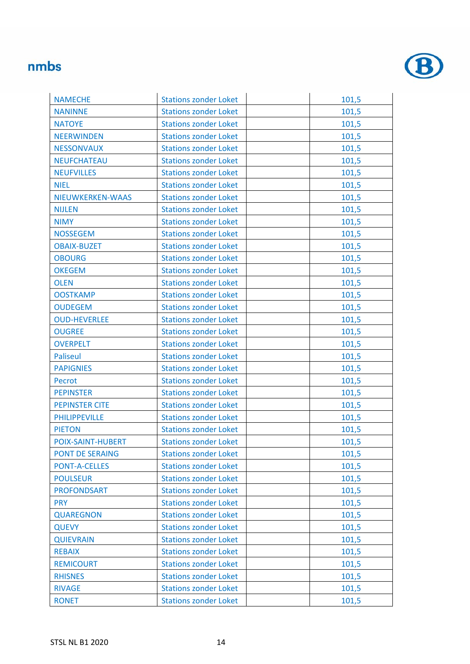

| <b>NAMECHE</b>           | <b>Stations zonder Loket</b> | 101,5 |
|--------------------------|------------------------------|-------|
| <b>NANINNE</b>           | <b>Stations zonder Loket</b> | 101,5 |
| <b>NATOYE</b>            | <b>Stations zonder Loket</b> | 101,5 |
| <b>NEERWINDEN</b>        | <b>Stations zonder Loket</b> | 101,5 |
| <b>NESSONVAUX</b>        | <b>Stations zonder Loket</b> | 101,5 |
| <b>NEUFCHATEAU</b>       | <b>Stations zonder Loket</b> | 101,5 |
| <b>NEUFVILLES</b>        | <b>Stations zonder Loket</b> | 101,5 |
| <b>NIEL</b>              | <b>Stations zonder Loket</b> | 101,5 |
| NIEUWKERKEN-WAAS         | <b>Stations zonder Loket</b> | 101,5 |
| <b>NIJLEN</b>            | <b>Stations zonder Loket</b> | 101,5 |
| <b>NIMY</b>              | <b>Stations zonder Loket</b> | 101,5 |
| <b>NOSSEGEM</b>          | <b>Stations zonder Loket</b> | 101,5 |
| <b>OBAIX-BUZET</b>       | <b>Stations zonder Loket</b> | 101,5 |
| <b>OBOURG</b>            | <b>Stations zonder Loket</b> | 101,5 |
| <b>OKEGEM</b>            | <b>Stations zonder Loket</b> | 101,5 |
| <b>OLEN</b>              | <b>Stations zonder Loket</b> | 101,5 |
| <b>OOSTKAMP</b>          | <b>Stations zonder Loket</b> | 101,5 |
| <b>OUDEGEM</b>           | <b>Stations zonder Loket</b> | 101,5 |
| <b>OUD-HEVERLEE</b>      | <b>Stations zonder Loket</b> | 101,5 |
| <b>OUGREE</b>            | <b>Stations zonder Loket</b> | 101,5 |
| <b>OVERPELT</b>          | <b>Stations zonder Loket</b> | 101,5 |
| <b>Paliseul</b>          | <b>Stations zonder Loket</b> | 101,5 |
| <b>PAPIGNIES</b>         | <b>Stations zonder Loket</b> | 101,5 |
| Pecrot                   | <b>Stations zonder Loket</b> | 101,5 |
| <b>PEPINSTER</b>         | <b>Stations zonder Loket</b> | 101,5 |
| <b>PEPINSTER CITE</b>    | <b>Stations zonder Loket</b> | 101,5 |
| <b>PHILIPPEVILLE</b>     | <b>Stations zonder Loket</b> | 101,5 |
| <b>PIETON</b>            | <b>Stations zonder Loket</b> | 101,5 |
| <b>POIX-SAINT-HUBERT</b> | <b>Stations zonder Loket</b> | 101,5 |
| <b>PONT DE SERAING</b>   | <b>Stations zonder Loket</b> | 101,5 |
| <b>PONT-A-CELLES</b>     | <b>Stations zonder Loket</b> | 101,5 |
| <b>POULSEUR</b>          | <b>Stations zonder Loket</b> | 101,5 |
| <b>PROFONDSART</b>       | <b>Stations zonder Loket</b> | 101,5 |
| <b>PRY</b>               | <b>Stations zonder Loket</b> | 101,5 |
| <b>QUAREGNON</b>         | <b>Stations zonder Loket</b> | 101,5 |
| <b>QUEVY</b>             | <b>Stations zonder Loket</b> | 101,5 |
| <b>QUIEVRAIN</b>         | <b>Stations zonder Loket</b> | 101,5 |
| <b>REBAIX</b>            | <b>Stations zonder Loket</b> | 101,5 |
| <b>REMICOURT</b>         | <b>Stations zonder Loket</b> | 101,5 |
| <b>RHISNES</b>           | <b>Stations zonder Loket</b> | 101,5 |
| <b>RIVAGE</b>            | <b>Stations zonder Loket</b> | 101,5 |
| <b>RONET</b>             | <b>Stations zonder Loket</b> | 101,5 |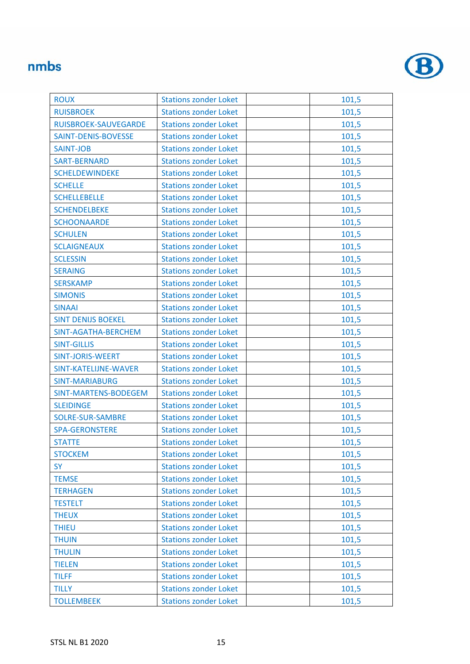

| <b>ROUX</b>               | <b>Stations zonder Loket</b> | 101,5 |
|---------------------------|------------------------------|-------|
| <b>RUISBROEK</b>          | <b>Stations zonder Loket</b> | 101,5 |
| RUISBROEK-SAUVEGARDE      | <b>Stations zonder Loket</b> | 101,5 |
| SAINT-DENIS-BOVESSE       | <b>Stations zonder Loket</b> | 101,5 |
| <b>SAINT-JOB</b>          | <b>Stations zonder Loket</b> | 101,5 |
| <b>SART-BERNARD</b>       | <b>Stations zonder Loket</b> | 101,5 |
| <b>SCHELDEWINDEKE</b>     | <b>Stations zonder Loket</b> | 101,5 |
| <b>SCHELLE</b>            | <b>Stations zonder Loket</b> | 101,5 |
| <b>SCHELLEBELLE</b>       | <b>Stations zonder Loket</b> | 101,5 |
| <b>SCHENDELBEKE</b>       | <b>Stations zonder Loket</b> | 101,5 |
| <b>SCHOONAARDE</b>        | <b>Stations zonder Loket</b> | 101,5 |
| <b>SCHULEN</b>            | <b>Stations zonder Loket</b> | 101,5 |
| <b>SCLAIGNEAUX</b>        | <b>Stations zonder Loket</b> | 101,5 |
| <b>SCLESSIN</b>           | <b>Stations zonder Loket</b> | 101,5 |
| <b>SERAING</b>            | <b>Stations zonder Loket</b> | 101,5 |
| <b>SERSKAMP</b>           | <b>Stations zonder Loket</b> | 101,5 |
| <b>SIMONIS</b>            | <b>Stations zonder Loket</b> | 101,5 |
| <b>SINAAI</b>             | <b>Stations zonder Loket</b> | 101,5 |
| <b>SINT DENIJS BOEKEL</b> | <b>Stations zonder Loket</b> | 101,5 |
| SINT-AGATHA-BERCHEM       | <b>Stations zonder Loket</b> | 101,5 |
| <b>SINT-GILLIS</b>        | <b>Stations zonder Loket</b> | 101,5 |
| <b>SINT-JORIS-WEERT</b>   | <b>Stations zonder Loket</b> | 101,5 |
| SINT-KATELIJNE-WAVER      | <b>Stations zonder Loket</b> | 101,5 |
| <b>SINT-MARIABURG</b>     | <b>Stations zonder Loket</b> | 101,5 |
| SINT-MARTENS-BODEGEM      | <b>Stations zonder Loket</b> | 101,5 |
| <b>SLEIDINGE</b>          | <b>Stations zonder Loket</b> | 101,5 |
| SOLRE-SUR-SAMBRE          | <b>Stations zonder Loket</b> | 101,5 |
| <b>SPA-GERONSTERE</b>     | <b>Stations zonder Loket</b> | 101,5 |
| <b>STATTE</b>             | <b>Stations zonder Loket</b> | 101,5 |
| <b>STOCKEM</b>            | <b>Stations zonder Loket</b> | 101,5 |
| <b>SY</b>                 | <b>Stations zonder Loket</b> | 101,5 |
| <b>TEMSE</b>              | <b>Stations zonder Loket</b> | 101,5 |
| <b>TERHAGEN</b>           | <b>Stations zonder Loket</b> | 101,5 |
| <b>TESTELT</b>            | <b>Stations zonder Loket</b> | 101,5 |
| <b>THEUX</b>              | <b>Stations zonder Loket</b> | 101,5 |
| <b>THIEU</b>              | <b>Stations zonder Loket</b> | 101,5 |
| <b>THUIN</b>              | <b>Stations zonder Loket</b> | 101,5 |
| <b>THULIN</b>             | <b>Stations zonder Loket</b> | 101,5 |
| <b>TIELEN</b>             | <b>Stations zonder Loket</b> | 101,5 |
| <b>TILFF</b>              | <b>Stations zonder Loket</b> | 101,5 |
| <b>TILLY</b>              | <b>Stations zonder Loket</b> | 101,5 |
| <b>TOLLEMBEEK</b>         | <b>Stations zonder Loket</b> | 101,5 |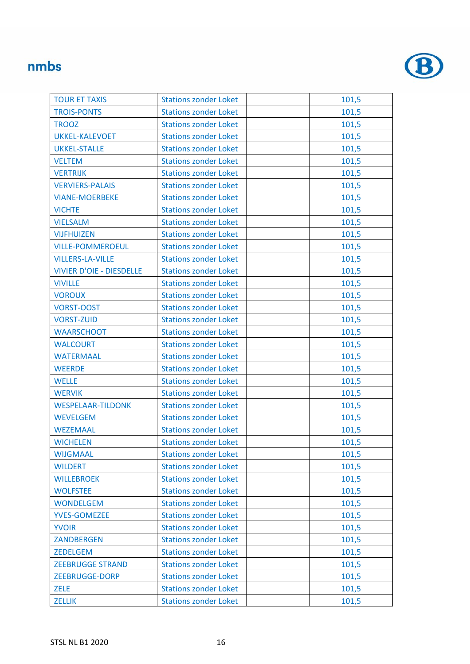

| <b>TOUR ET TAXIS</b>            | <b>Stations zonder Loket</b> | 101,5 |
|---------------------------------|------------------------------|-------|
| <b>TROIS-PONTS</b>              | <b>Stations zonder Loket</b> | 101,5 |
| <b>TROOZ</b>                    | <b>Stations zonder Loket</b> | 101,5 |
| <b>UKKEL-KALEVOET</b>           | <b>Stations zonder Loket</b> | 101,5 |
| <b>UKKEL-STALLE</b>             | <b>Stations zonder Loket</b> | 101,5 |
| <b>VELTEM</b>                   | <b>Stations zonder Loket</b> | 101,5 |
| <b>VERTRIJK</b>                 | <b>Stations zonder Loket</b> | 101,5 |
| <b>VERVIERS-PALAIS</b>          | <b>Stations zonder Loket</b> | 101,5 |
| <b>VIANE-MOERBEKE</b>           | <b>Stations zonder Loket</b> | 101,5 |
| <b>VICHTE</b>                   | <b>Stations zonder Loket</b> | 101,5 |
| <b>VIELSALM</b>                 | <b>Stations zonder Loket</b> | 101,5 |
| <b>VIJFHUIZEN</b>               | <b>Stations zonder Loket</b> | 101,5 |
| <b>VILLE-POMMEROEUL</b>         | <b>Stations zonder Loket</b> | 101,5 |
| <b>VILLERS-LA-VILLE</b>         | <b>Stations zonder Loket</b> | 101,5 |
| <b>VIVIER D'OIE - DIESDELLE</b> | <b>Stations zonder Loket</b> | 101,5 |
| <b>VIVILLE</b>                  | <b>Stations zonder Loket</b> | 101,5 |
| <b>VOROUX</b>                   | <b>Stations zonder Loket</b> | 101,5 |
| <b>VORST-OOST</b>               | <b>Stations zonder Loket</b> | 101,5 |
| <b>VORST-ZUID</b>               | <b>Stations zonder Loket</b> | 101,5 |
| <b>WAARSCHOOT</b>               | <b>Stations zonder Loket</b> | 101,5 |
| <b>WALCOURT</b>                 | <b>Stations zonder Loket</b> | 101,5 |
| <b>WATERMAAL</b>                | <b>Stations zonder Loket</b> | 101,5 |
| <b>WEERDE</b>                   | <b>Stations zonder Loket</b> | 101,5 |
| <b>WELLE</b>                    | <b>Stations zonder Loket</b> | 101,5 |
| <b>WERVIK</b>                   | <b>Stations zonder Loket</b> | 101,5 |
| <b>WESPELAAR-TILDONK</b>        | <b>Stations zonder Loket</b> | 101,5 |
| <b>WEVELGEM</b>                 | <b>Stations zonder Loket</b> | 101,5 |
| <b>WEZEMAAL</b>                 | <b>Stations zonder Loket</b> | 101,5 |
| <b>WICHELEN</b>                 | <b>Stations zonder Loket</b> | 101,5 |
| <b>WIJGMAAL</b>                 | <b>Stations zonder Loket</b> | 101,5 |
| <b>WILDERT</b>                  | <b>Stations zonder Loket</b> | 101,5 |
| <b>WILLEBROEK</b>               | <b>Stations zonder Loket</b> | 101,5 |
| <b>WOLFSTEE</b>                 | <b>Stations zonder Loket</b> | 101,5 |
| <b>WONDELGEM</b>                | <b>Stations zonder Loket</b> | 101,5 |
| <b>YVES-GOMEZEE</b>             | <b>Stations zonder Loket</b> | 101,5 |
| <b>YVOIR</b>                    | <b>Stations zonder Loket</b> | 101,5 |
| <b>ZANDBERGEN</b>               | <b>Stations zonder Loket</b> | 101,5 |
| <b>ZEDELGEM</b>                 | <b>Stations zonder Loket</b> | 101,5 |
| <b>ZEEBRUGGE STRAND</b>         | <b>Stations zonder Loket</b> | 101,5 |
| ZEEBRUGGE-DORP                  | <b>Stations zonder Loket</b> | 101,5 |
| <b>ZELE</b>                     | <b>Stations zonder Loket</b> | 101,5 |
| <b>ZELLIK</b>                   | <b>Stations zonder Loket</b> | 101,5 |